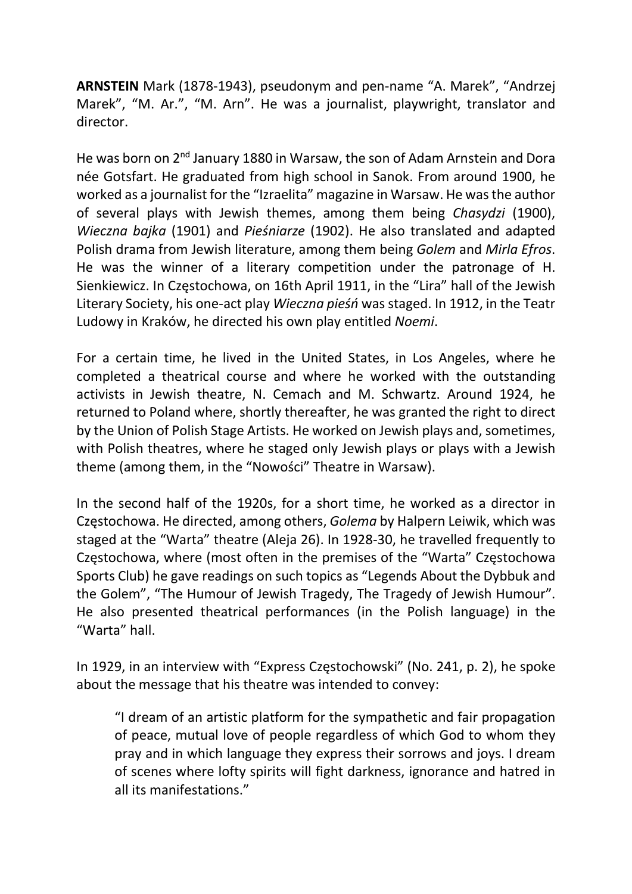ARNSTEIN Mark (1878-1943), pseudonym and pen-name "A. Marek", "Andrzej Marek", "M. Ar.", "M. Arn". He was a journalist, playwright, translator and director.

He was born on 2<sup>nd</sup> January 1880 in Warsaw, the son of Adam Arnstein and Dora née Gotsfart. He graduated from high school in Sanok. From around 1900, he worked as a journalist for the "Izraelita" magazine in Warsaw. He was the author of several plays with Jewish themes, among them being Chasydzi (1900), Wieczna bajka (1901) and Pieśniarze (1902). He also translated and adapted Polish drama from Jewish literature, among them being Golem and Mirla Efros. He was the winner of a literary competition under the patronage of H. Sienkiewicz. In Częstochowa, on 16th April 1911, in the "Lira" hall of the Jewish Literary Society, his one-act play Wieczna pieśń was staged. In 1912, in the Teatr Ludowy in Kraków, he directed his own play entitled Noemi.

For a certain time, he lived in the United States, in Los Angeles, where he completed a theatrical course and where he worked with the outstanding activists in Jewish theatre, N. Cemach and M. Schwartz. Around 1924, he returned to Poland where, shortly thereafter, he was granted the right to direct by the Union of Polish Stage Artists. He worked on Jewish plays and, sometimes, with Polish theatres, where he staged only Jewish plays or plays with a Jewish theme (among them, in the "Nowości" Theatre in Warsaw).

In the second half of the 1920s, for a short time, he worked as a director in Częstochowa. He directed, among others, Golema by Halpern Leiwik, which was staged at the "Warta" theatre (Aleja 26). In 1928-30, he travelled frequently to Częstochowa, where (most often in the premises of the "Warta" Częstochowa Sports Club) he gave readings on such topics as "Legends About the Dybbuk and the Golem", "The Humour of Jewish Tragedy, The Tragedy of Jewish Humour". He also presented theatrical performances (in the Polish language) in the "Warta" hall.

In 1929, in an interview with "Express Częstochowski" (No. 241, p. 2), he spoke about the message that his theatre was intended to convey:

"I dream of an artistic platform for the sympathetic and fair propagation of peace, mutual love of people regardless of which God to whom they pray and in which language they express their sorrows and joys. I dream of scenes where lofty spirits will fight darkness, ignorance and hatred in all its manifestations."